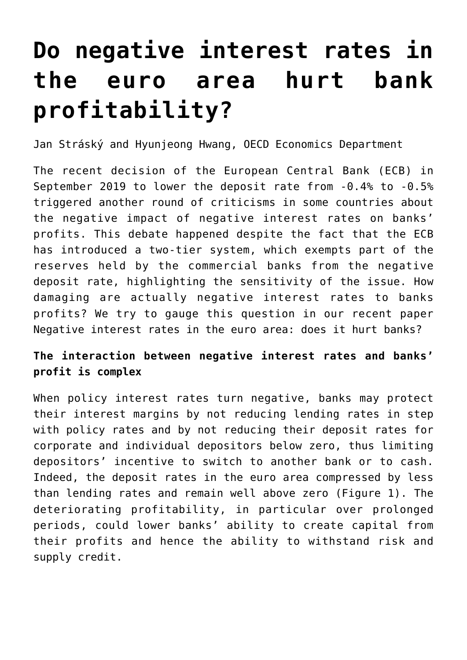# **[Do negative interest rates in](https://oecdecoscope.blog/2019/10/22/do-negative-interest-rates-in-the-euro-area-hurt-bank-profitability/) [the euro area hurt bank](https://oecdecoscope.blog/2019/10/22/do-negative-interest-rates-in-the-euro-area-hurt-bank-profitability/) [profitability?](https://oecdecoscope.blog/2019/10/22/do-negative-interest-rates-in-the-euro-area-hurt-bank-profitability/)**

Jan Stráský and Hyunjeong Hwang, OECD Economics Department

The recent decision of the European Central Bank (ECB) in September 2019 to lower the deposit rate from -0.4% to -0.5% triggered another round of criticisms in some countries about the negative impact of negative interest rates on banks' profits. This debate happened despite the fact that the ECB has introduced a two-tier system, which exempts part of the reserves held by the commercial banks from the negative deposit rate, highlighting the sensitivity of the issue. How damaging are actually negative interest rates to banks profits? We try to gauge this question in our recent paper [Negative interest rates in the euro area: does it hurt banks?](https://doi.org/10.1787/d3227540-en)

## **The interaction between negative interest rates and banks' profit is complex**

When policy interest rates turn negative, banks may protect their interest margins by not reducing lending rates in step with policy rates and by not reducing their deposit rates for corporate and individual depositors below zero, thus limiting depositors' incentive to switch to another bank or to cash. Indeed, the deposit rates in the euro area compressed by less than lending rates and remain well above zero (Figure 1). The deteriorating profitability, in particular over prolonged periods, could lower banks' ability to create capital from their profits and hence the ability to withstand risk and supply credit.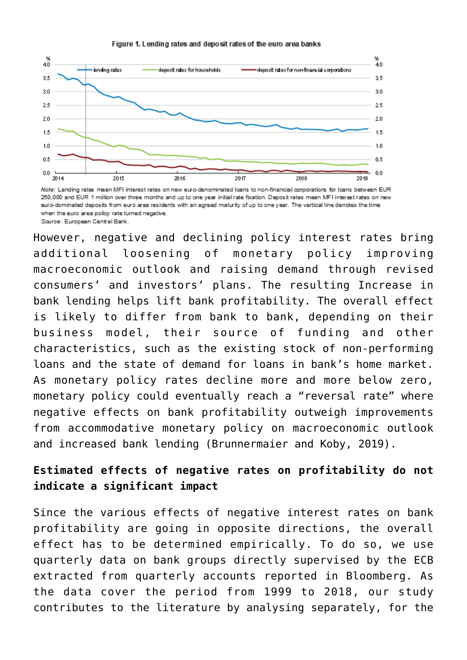#### Figure 1. Lending rates and deposit rates of the euro area banks



Note: Lending rates mean MFI interest rates on new euro-denominated loans to non-financial corporations for loans between EUR 250,000 and EUR 1 million over three months and up to one year initial rate fixation. Deposit rates mean MFI interest rates on new euro-dominated deposits from euro area residents with an agreed maturity of up to one year. The vertical line denotes the time when the euro area policy rate turned negative Source: European Central Bank.

However, negative and declining policy interest rates bring additional loosening of monetary policy improving macroeconomic outlook and raising demand through revised consumers' and investors' plans. The resulting Increase in bank lending helps lift bank profitability. The overall effect is likely to differ from bank to bank, depending on their business model, their source of funding and other characteristics, such as the existing stock of non-performing loans and the state of demand for loans in bank's home market. As monetary policy rates decline more and more below zero, monetary policy could eventually reach a "reversal rate" where negative effects on bank profitability outweigh improvements from accommodative monetary policy on macroeconomic outlook and increased bank lending (Brunnermaier and Koby, 2019).

## **Estimated effects of negative rates on profitability do not indicate a significant impact**

Since the various effects of negative interest rates on bank profitability are going in opposite directions, the overall effect has to be determined empirically. To do so, we use quarterly data on bank groups directly supervised by the ECB extracted from quarterly accounts reported in Bloomberg. As the data cover the period from 1999 to 2018, our study contributes to the literature by analysing separately, for the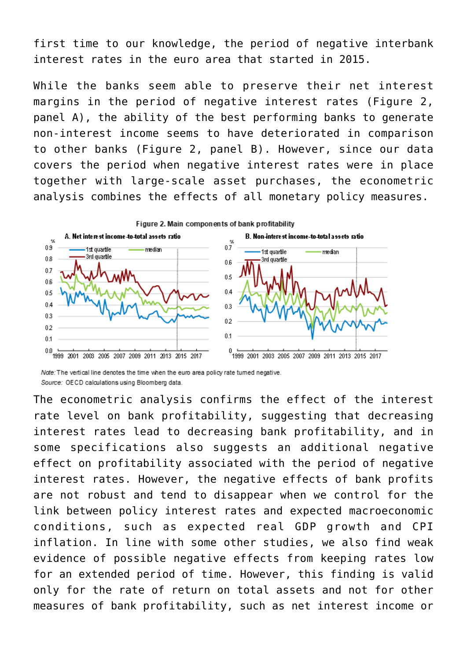first time to our knowledge, the period of negative interbank interest rates in the euro area that started in 2015.

While the banks seem able to preserve their net interest margins in the period of negative interest rates (Figure 2, panel A), the ability of the best performing banks to generate non-interest income seems to have deteriorated in comparison to other banks (Figure 2, panel B). However, since our data covers the period when negative interest rates were in place together with large-scale asset purchases, the econometric analysis combines the effects of all monetary policy measures.



Note: The vertical line denotes the time when the euro area policy rate tumed negative. Source: OECD calculations using Bloomberg data.

The econometric analysis confirms the effect of the interest rate level on bank profitability, suggesting that decreasing interest rates lead to decreasing bank profitability, and in some specifications also suggests an additional negative effect on profitability associated with the period of negative interest rates. However, the negative effects of bank profits are not robust and tend to disappear when we control for the link between policy interest rates and expected macroeconomic conditions, such as expected real GDP growth and CPI inflation. In line with some other studies, we also find weak evidence of possible negative effects from keeping rates low for an extended period of time. However, this finding is valid only for the rate of return on total assets and not for other measures of bank profitability, such as net interest income or